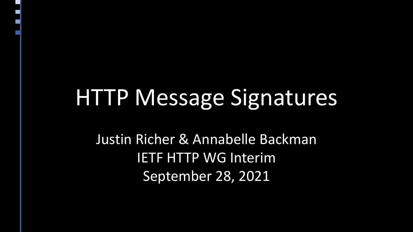### HTTP Message Signatures

Justin Richer & Annabelle Backman IETF HTTP WG Interim September 28, 2021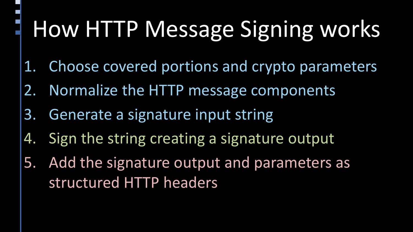# How HTTP Message Signing works

- 1. Choose covered portions and crypto parameters
- 2. Normalize the HTTP message components
- 3. Generate a signature input string
- 4. Sign the string creating a signature output
- 5. Add the signature output and parameters as structured HTTP headers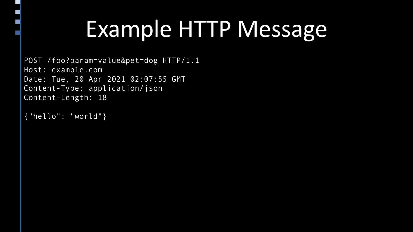## Example HTTP Message

POST /foo?param=value&pet=dog HTTP/1.1 Host: example.com Date: Tue, 20 Apr 2021 02:07:55 GMT Content-Type: application/json Content-Length: 18

{"hello": "world"}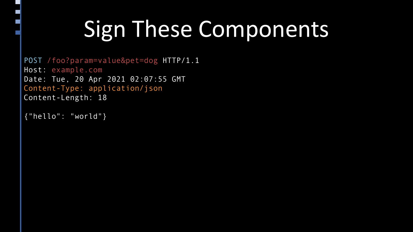## Sign These Components

POST /foo?param=value&pet=dog HTTP/1.1 Host: example.com Date: Tue, 20 Apr 2021 02:07:55 GMT Content-Type: application/json Content-Length: 18

{"hello": "world"}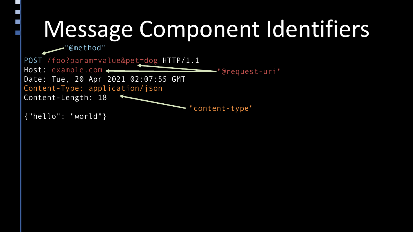## Message Component Identifiers

"@method"

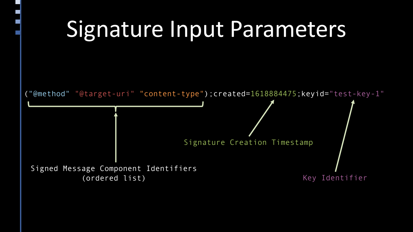## Signature Input Parameters

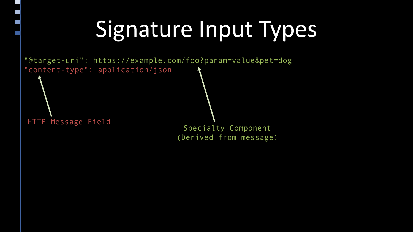## Signature Input Types

"@target-uri": https://example.com/foo?param=value&pet=dog "content-type": application/json

HTTP Message Field Specialty Component (Derived from message)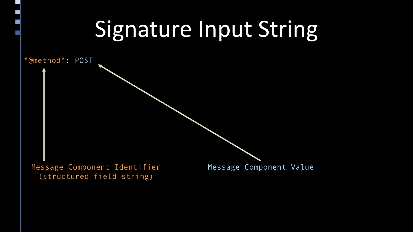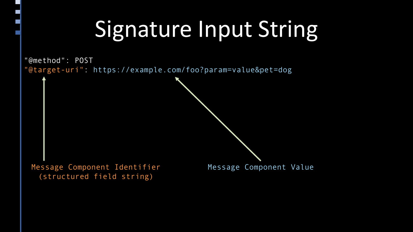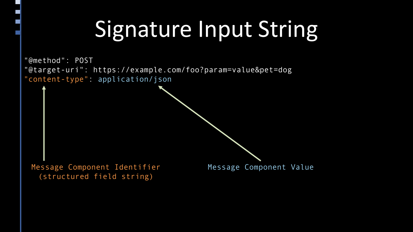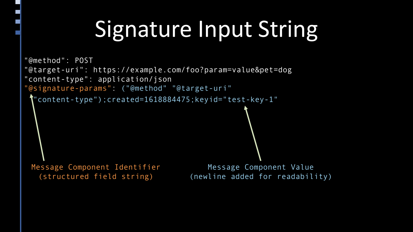```
"@method": POST
"@target-uri": https://example.com/foo?param=value&pet=dog
"content-type": application/json
"@signature-params": ("@method" "@target-uri"
 \hat{\mathbf{T}}"content-type");created=1618884475;keyid="test-key-1"
                                        Message Component Value
                                     (newline added for readability)
 Message Component Identifier
   (structured field string)
```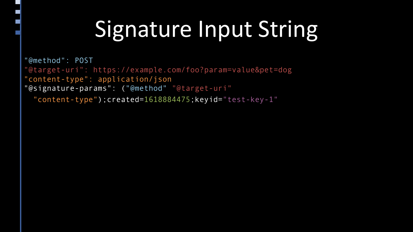"@method": POST "@target-uri": https://example.com/foo?param=value&pet=dog "content-type": application/json "@signature-params": ("@method" "@target-uri" "content-type");created=1618884475;keyid="test-key-1"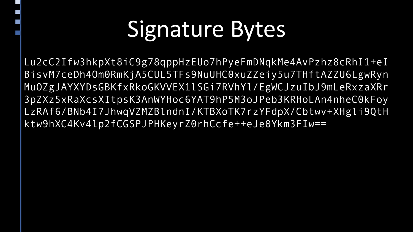## Signature Bytes

Lu2cC2Ifw3hkpXt8iC9g78qppHzEUo7hPyeFmDNqkMe4AvPzhz8cRhI1+eI BisvM7ceDh4Om0RmKjA5CUL5TFs9NuUHC0xuZZeiy5u7THftAZZU6LgwRyn MuOZgJAYXYDsGBKfxRkoGKVVEX1lSGi7RVhYl/EgWCJzuIbJ9mLeRxzaXRr 3pZXz5xRaXcsXItpsK3AnWYHoc6YAT9hP5M3oJPeb3KRHoLAn4nheC0kFoy LzRAf6/BNb4I7JhwqVZMZBlndnI/KTBXoTK7rzYFdpX/Cbtwv+XHgli9QtH ktw9hXC4Kv4lp2fCGSPJPHKeyrZ0rhCcfe++eJe0Ykm3FIw==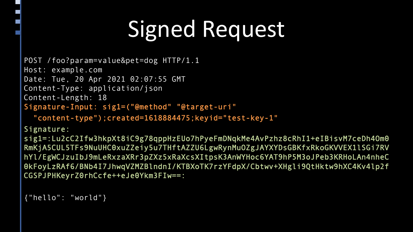# Signed Request

```
POST /foo?param=value&pet=dog HTTP/1.1
Host: example.com
Date: Tue, 20 Apr 2021 02:07:55 GMT
Content-Type: application/json
Content-Length: 18
Signature-Input: sig1=("@method" "@target-uri" 
  "content-type");created=1618884475;keyid="test-key-1"
```
Signature:

sig1=:Lu2cC2Ifw3hkpXt8iC9g78qppHzEUo7hPyeFmDNqkMe4AvPzhz8cRhI1+eIBisvM7ceDh4Om0 RmKjA5CUL5TFs9NuUHC0xuZZeiy5u7THftAZZU6LgwRynMuOZgJAYXYDsGBKfxRkoGKVVEX1lSGi7RV hYl/EgWCJzuIbJ9mLeRxzaXRr3pZXz5xRaXcsXItpsK3AnWYHoc6YAT9hP5M3oJPeb3KRHoLAn4nheC 0kFoyLzRAf6/BNb4I7JhwqVZMZBlndnI/KTBXoTK7rzYFdpX/Cbtwv+XHgli9QtHktw9hXC4Kv4lp2f CGSPJPHKeyrZ0rhCcfe++eJe0Ykm3FIw==:

```
{"hello": "world"}
```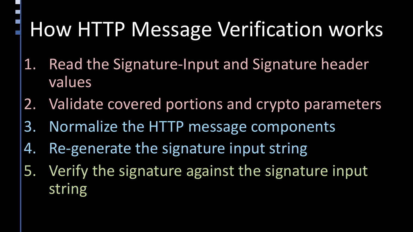### How HTTP Message Verification works

- 1. Read the Signature-Input and Signature header values
- 2. Validate covered portions and crypto parameters
- 3. Normalize the HTTP message components
- 4. Re-generate the signature input string
- 5. Verify the signature against the signature input string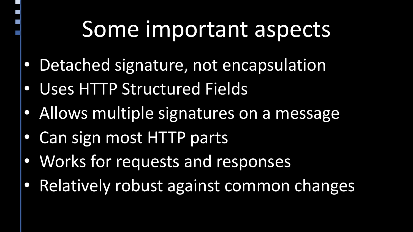### Some important aspects

- Detached signature, not encapsulation
- Uses HTTP Structured Fields
- Allows multiple signatures on a message
- Can sign most HTTP parts
- Works for requests and responses
- Relatively robust against common changes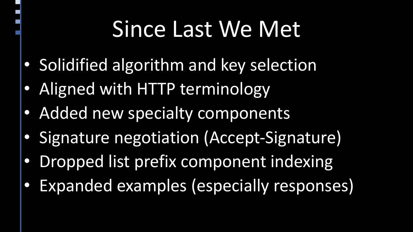### Since Last We Met

- Solidified algorithm and key selection
- Aligned with HTTP terminology
- Added new specialty components
- Signature negotiation (Accept-Signature)
- Dropped list prefix component indexing
- Expanded examples (especially responses)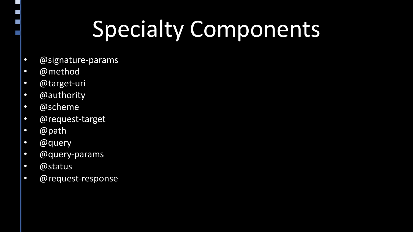## Specialty Components

- @signature-params
- @method
- @target-uri
- @authority
- @scheme
- @request-target
- @path
- @query
- @query-params
- @status
- @request-response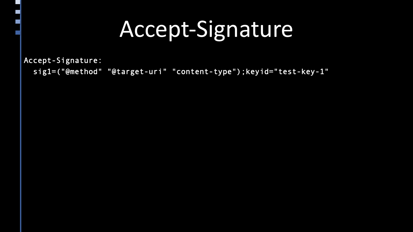### Accept-Signature

Accept-Signature:

sig1=("@method" "@target-uri" "content-type");keyid="test-key-1"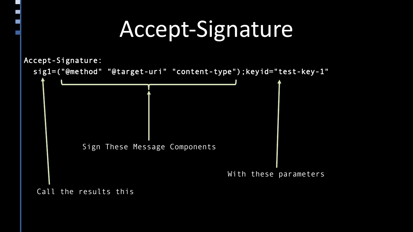### Accept-Signature

Accept-Signature:



Call the results this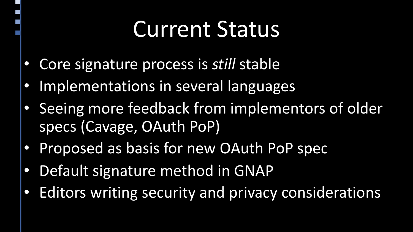### Current Status

- Core signature process is *still* stable
- Implementations in several languages
- Seeing more feedback from implementors of older specs (Cavage, OAuth PoP)
- Proposed as basis for new OAuth PoP spec
- Default signature method in GNAP
- Editors writing security and privacy considerations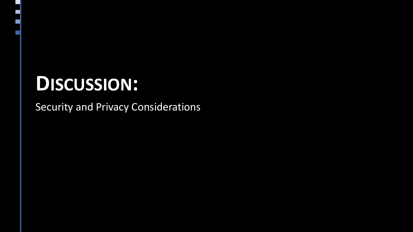Security and Privacy Considerations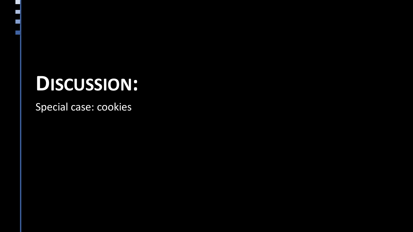Special case: cookies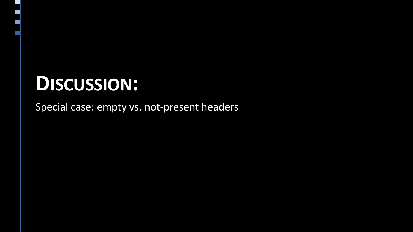Special case: empty vs. not-present headers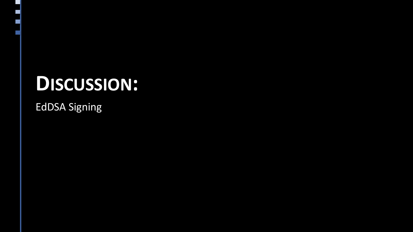EdDSA Signing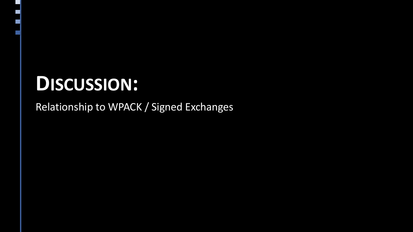Relationship to WPACK / Signed Exchanges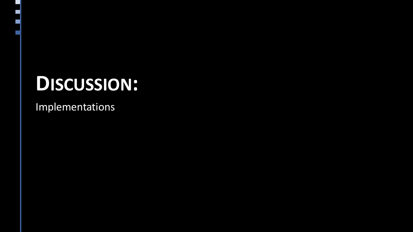Implementations